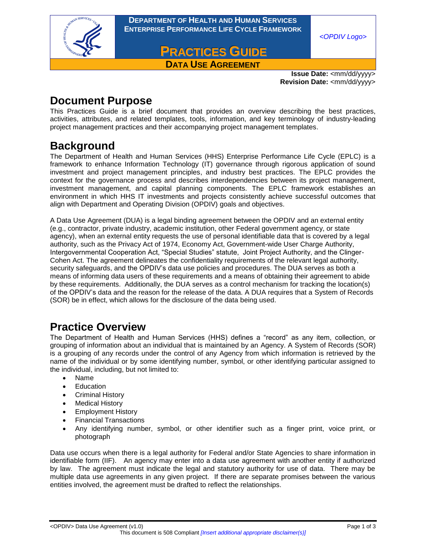

**DEPARTMENT OF HEALTH AND HUMAN SERVICES ENTERPRISE PERFORMANCE LIFE CYCLE FRAMEWORK**

*<OPDIV Logo>*

**PRACTICES GUIDE DATA USE AGREEMENT** 

> **Issue Date:** <mm/dd/yyyy> **Revision Date:** <mm/dd/yyyy>

### **Document Purpose**

This Practices Guide is a brief document that provides an overview describing the best practices, activities, attributes, and related templates, tools, information, and key terminology of industry-leading project management practices and their accompanying project management templates.

# **Background**

The Department of Health and Human Services (HHS) Enterprise Performance Life Cycle (EPLC) is a framework to enhance Information Technology (IT) governance through rigorous application of sound investment and project management principles, and industry best practices. The EPLC provides the context for the governance process and describes interdependencies between its project management, investment management, and capital planning components. The EPLC framework establishes an environment in which HHS IT investments and projects consistently achieve successful outcomes that align with Department and Operating Division (OPDIV) goals and objectives.

A Data Use Agreement (DUA) is a legal binding agreement between the OPDIV and an external entity (e.g., contractor, private industry, academic institution, other Federal government agency, or state agency), when an external entity requests the use of personal identifiable data that is covered by a legal authority, such as the Privacy Act of 1974, Economy Act, Government-wide User Charge Authority, Intergovernmental Cooperation Act, "Special Studies" statute, Joint Project Authority, and the Clinger-Cohen Act. The agreement delineates the confidentiality requirements of the relevant legal authority, security safeguards, and the OPDIV's data use policies and procedures. The DUA serves as both a means of informing data users of these requirements and a means of obtaining their agreement to abide by these requirements. Additionally, the DUA serves as a control mechanism for tracking the location(s) of the OPDIV's data and the reason for the release of the data. A DUA requires that a System of Records (SOR) be in effect, which allows for the disclosure of the data being used.

# **Practice Overview**

The Department of Health and Human Services (HHS) defines a "record" as any item, collection, or grouping of information about an individual that is maintained by an Agency. A System of Records (SOR) is a grouping of any records under the control of any Agency from which information is retrieved by the name of the individual or by some identifying number, symbol, or other identifying particular assigned to the individual, including, but not limited to:

- Name
- **Education**
- Criminal History
- Medical History
- **•** Employment History
- Financial Transactions
- Any identifying number, symbol, or other identifier such as a finger print, voice print, or photograph

Data use occurs when there is a legal authority for Federal and/or State Agencies to share information in identifiable form (IIF). An agency may enter into a data use agreement with another entity if authorized by law. The agreement must indicate the legal and statutory authority for use of data. There may be multiple data use agreements in any given project. If there are separate promises between the various entities involved, the agreement must be drafted to reflect the relationships.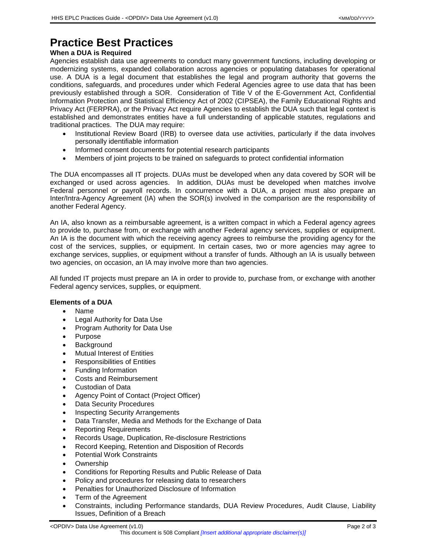## **Practice Best Practices**

### **When a DUA is Required**

Agencies establish data use agreements to conduct many government functions, including developing or modernizing systems, expanded collaboration across agencies or populating databases for operational use. A DUA is a legal document that establishes the legal and program authority that governs the conditions, safeguards, and procedures under which Federal Agencies agree to use data that has been previously established through a SOR. Consideration of Title V of the E-Government Act, Confidential Information Protection and Statistical Efficiency Act of 2002 (CIPSEA), the Family Educational Rights and Privacy Act (FERPRA), or the Privacy Act require Agencies to establish the DUA such that legal context is established and demonstrates entities have a full understanding of applicable statutes, regulations and traditional practices. The DUA may require:

- Institutional Review Board (IRB) to oversee data use activities, particularly if the data involves personally identifiable information
- Informed consent documents for potential research participants
- Members of joint projects to be trained on safeguards to protect confidential information

The DUA encompasses all IT projects. DUAs must be developed when any data covered by SOR will be exchanged or used across agencies. In addition, DUAs must be developed when matches involve Federal personnel or payroll records. In concurrence with a DUA, a project must also prepare an Inter/Intra-Agency Agreement (IA) when the SOR(s) involved in the comparison are the responsibility of another Federal Agency.

An IA, also known as a reimbursable agreement, is a written compact in which a Federal agency agrees to provide to, purchase from, or exchange with another Federal agency services, supplies or equipment. An IA is the document with which the receiving agency agrees to reimburse the providing agency for the cost of the services, supplies, or equipment. In certain cases, two or more agencies may agree to exchange services, supplies, or equipment without a transfer of funds. Although an IA is usually between two agencies, on occasion, an IA may involve more than two agencies.

All funded IT projects must prepare an IA in order to provide to, purchase from, or exchange with another Federal agency services, supplies, or equipment.

### **Elements of a DUA**

- Name
- Legal Authority for Data Use
- Program Authority for Data Use
- Purpose
- Background
- Mutual Interest of Entities
- Responsibilities of Entities
- Funding Information
- Costs and Reimbursement
- Custodian of Data
- Agency Point of Contact (Project Officer)
- Data Security Procedures
- Inspecting Security Arrangements
- Data Transfer, Media and Methods for the Exchange of Data
- Reporting Requirements
- Records Usage, Duplication, Re-disclosure Restrictions
- Record Keeping, Retention and Disposition of Records
- Potential Work Constraints
- Ownership
- Conditions for Reporting Results and Public Release of Data
- Policy and procedures for releasing data to researchers
- Penalties for Unauthorized Disclosure of Information
- Term of the Agreement
- Constraints, including Performance standards, DUA Review Procedures, Audit Clause, Liability Issues, Definition of a Breach